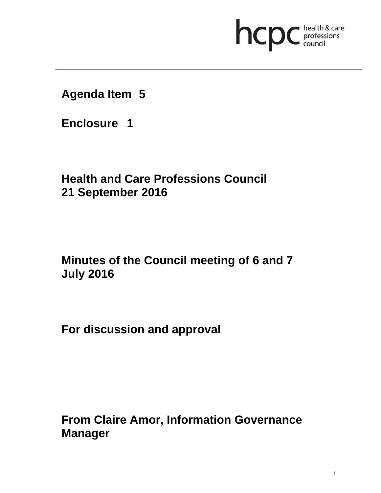# **health & care**

**Agenda Item 5** 

**Enclosure 1**

**Health and Care Professions Council 21 September 2016**

**Minutes of the Council meeting of 6 and 7 July 2016** 

**For discussion and approval** 

**From Claire Amor, Information Governance Manager**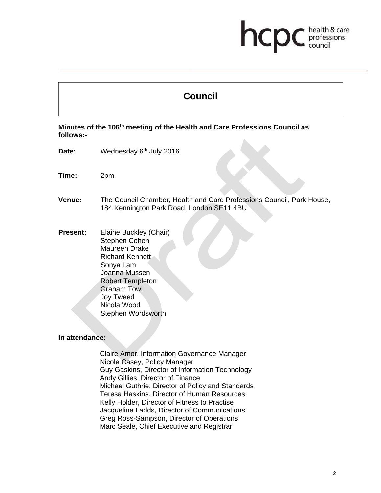# health & care hcp professions<br>council

# **Council**

**Minutes of the 106th meeting of the Health and Care Professions Council as follows:-** 

- Date: Wednesday 6<sup>th</sup> July 2016
- **Time:** 2pm

**Venue:** The Council Chamber, Health and Care Professions Council, Park House, 184 Kennington Park Road, London SE11 4BU

**Present:** Elaine Buckley (Chair) Stephen Cohen Maureen Drake Richard Kennett Sonya Lam Joanna Mussen Robert Templeton Graham Towl Joy Tweed Nicola Wood Stephen Wordsworth

#### **In attendance:**

Claire Amor, Information Governance Manager Nicole Casey, Policy Manager Guy Gaskins, Director of Information Technology Andy Gillies, Director of Finance Michael Guthrie, Director of Policy and Standards Teresa Haskins. Director of Human Resources Kelly Holder, Director of Fitness to Practise Jacqueline Ladds, Director of Communications Greg Ross-Sampson, Director of Operations Marc Seale, Chief Executive and Registrar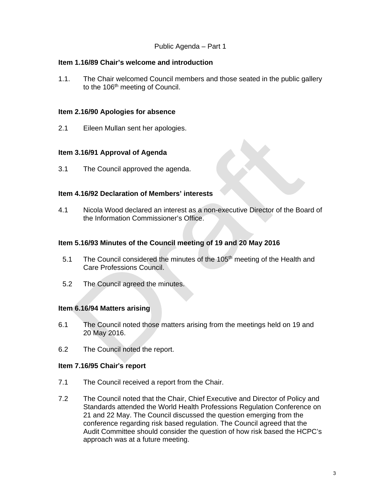# Public Agenda – Part 1

#### **Item 1.16/89 Chair's welcome and introduction**

1.1. The Chair welcomed Council members and those seated in the public gallery to the 106<sup>th</sup> meeting of Council.

#### **Item 2.16/90 Apologies for absence**

2.1 Eileen Mullan sent her apologies.

#### **Item 3.16/91 Approval of Agenda**

3.1 The Council approved the agenda.

#### **Item 4.16/92 Declaration of Members' interests**

4.1 Nicola Wood declared an interest as a non-executive Director of the Board of the Information Commissioner's Office.

#### **Item 5.16/93 Minutes of the Council meeting of 19 and 20 May 2016**

- 5.1 The Council considered the minutes of the 105<sup>th</sup> meeting of the Health and Care Professions Council.
- 5.2 The Council agreed the minutes.

# **Item 6.16/94 Matters arising**

- 6.1 The Council noted those matters arising from the meetings held on 19 and 20 May 2016.
- 6.2 The Council noted the report.

#### **Item 7.16/95 Chair**'**s report**

- 7.1 The Council received a report from the Chair.
- 7.2 The Council noted that the Chair, Chief Executive and Director of Policy and Standards attended the World Health Professions Regulation Conference on 21 and 22 May. The Council discussed the question emerging from the conference regarding risk based regulation. The Council agreed that the Audit Committee should consider the question of how risk based the HCPC's approach was at a future meeting.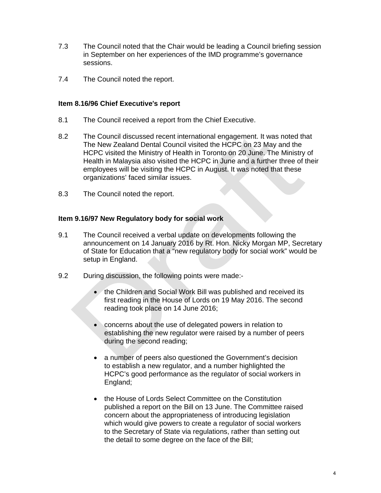- 7.3 The Council noted that the Chair would be leading a Council briefing session in September on her experiences of the IMD programme's governance sessions.
- 7.4 The Council noted the report.

#### **Item 8.16/96 Chief Executive**'**s report**

- 8.1 The Council received a report from the Chief Executive.
- 8.2 The Council discussed recent international engagement. It was noted that The New Zealand Dental Council visited the HCPC on 23 May and the HCPC visited the Ministry of Health in Toronto on 20 June. The Ministry of Health in Malaysia also visited the HCPC in June and a further three of their employees will be visiting the HCPC in August. It was noted that these organizations' faced similar issues.
- 8.3 The Council noted the report.

# **Item 9.16/97 New Regulatory body for social work**

- 9.1 The Council received a verbal update on developments following the announcement on 14 January 2016 by Rt. Hon. Nicky Morgan MP, Secretary of State for Education that a "new regulatory body for social work" would be setup in England.
- 9.2 During discussion, the following points were made:-
	- the Children and Social Work Bill was published and received its first reading in the House of Lords on 19 May 2016. The second reading took place on 14 June 2016;
	- concerns about the use of delegated powers in relation to establishing the new regulator were raised by a number of peers during the second reading;
	- a number of peers also questioned the Government's decision to establish a new regulator, and a number highlighted the HCPC's good performance as the regulator of social workers in England;
	- the House of Lords Select Committee on the Constitution published a report on the Bill on 13 June. The Committee raised concern about the appropriateness of introducing legislation which would give powers to create a regulator of social workers to the Secretary of State via regulations, rather than setting out the detail to some degree on the face of the Bill;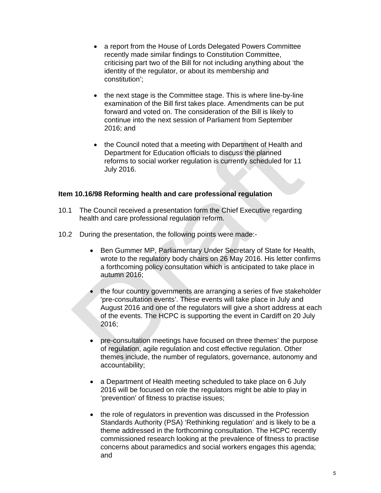- a report from the House of Lords Delegated Powers Committee recently made similar findings to Constitution Committee, criticising part two of the Bill for not including anything about 'the identity of the regulator, or about its membership and constitution';
- the next stage is the Committee stage. This is where line-by-line examination of the Bill first takes place. Amendments can be put forward and voted on. The consideration of the Bill is likely to continue into the next session of Parliament from September 2016; and
- the Council noted that a meeting with Department of Health and Department for Education officials to discuss the planned reforms to social worker regulation is currently scheduled for 11 July 2016.

#### **Item 10.16/98 Reforming health and care professional regulation**

- 10.1 The Council received a presentation form the Chief Executive regarding health and care professional regulation reform.
- 10.2 During the presentation, the following points were made:-
	- Ben Gummer MP, Parliamentary Under Secretary of State for Health, wrote to the regulatory body chairs on 26 May 2016. His letter confirms a forthcoming policy consultation which is anticipated to take place in autumn 2016;
	- the four country governments are arranging a series of five stakeholder 'pre-consultation events'. These events will take place in July and August 2016 and one of the regulators will give a short address at each of the events. The HCPC is supporting the event in Cardiff on 20 July 2016;
	- pre-consultation meetings have focused on three themes' the purpose of regulation, agile regulation and cost effective regulation. Other themes include, the number of regulators, governance, autonomy and accountability;
	- a Department of Health meeting scheduled to take place on 6 July 2016 will be focused on role the regulators might be able to play in 'prevention' of fitness to practise issues;
	- the role of regulators in prevention was discussed in the Profession Standards Authority (PSA) 'Rethinking regulation' and is likely to be a theme addressed in the forthcoming consultation. The HCPC recently commissioned research looking at the prevalence of fitness to practise concerns about paramedics and social workers engages this agenda; and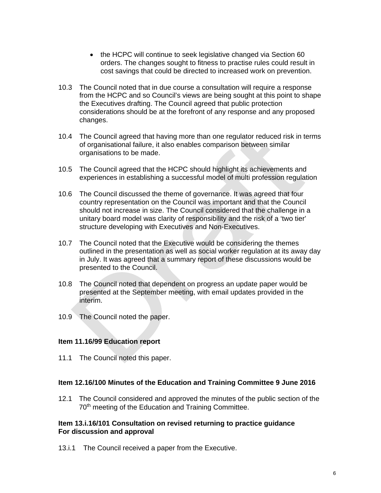- the HCPC will continue to seek legislative changed via Section 60 orders. The changes sought to fitness to practise rules could result in cost savings that could be directed to increased work on prevention.
- 10.3 The Council noted that in due course a consultation will require a response from the HCPC and so Council's views are being sought at this point to shape the Executives drafting. The Council agreed that public protection considerations should be at the forefront of any response and any proposed changes.
- 10.4 The Council agreed that having more than one regulator reduced risk in terms of organisational failure, it also enables comparison between similar organisations to be made.
- 10.5 The Council agreed that the HCPC should highlight its achievements and experiences in establishing a successful model of multi profession regulation
- 10.6 The Council discussed the theme of governance. It was agreed that four country representation on the Council was important and that the Council should not increase in size. The Council considered that the challenge in a unitary board model was clarity of responsibility and the risk of a 'two tier' structure developing with Executives and Non-Executives.
- 10.7 The Council noted that the Executive would be considering the themes outlined in the presentation as well as social worker regulation at its away day in July. It was agreed that a summary report of these discussions would be presented to the Council.
- 10.8 The Council noted that dependent on progress an update paper would be presented at the September meeting, with email updates provided in the interim.
- 10.9 The Council noted the paper.

# **Item 11.16/99 Education report**

11.1 The Council noted this paper.

# **Item 12.16/100 Minutes of the Education and Training Committee 9 June 2016**

12.1 The Council considered and approved the minutes of the public section of the 70<sup>th</sup> meeting of the Education and Training Committee.

#### **Item 13.i.16/101 Consultation on revised returning to practice guidance For discussion and approval**

13.i.1 The Council received a paper from the Executive.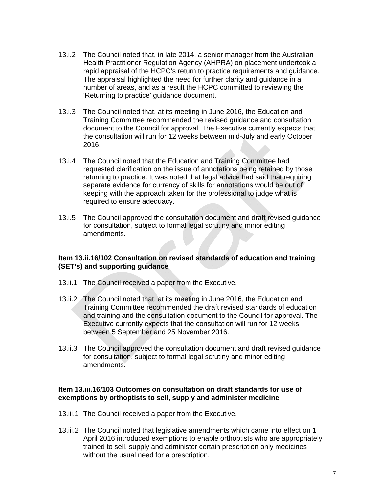- 13.i.2 The Council noted that, in late 2014, a senior manager from the Australian Health Practitioner Regulation Agency (AHPRA) on placement undertook a rapid appraisal of the HCPC's return to practice requirements and guidance. The appraisal highlighted the need for further clarity and guidance in a number of areas, and as a result the HCPC committed to reviewing the 'Returning to practice' guidance document.
- 13.i.3 The Council noted that, at its meeting in June 2016, the Education and Training Committee recommended the revised guidance and consultation document to the Council for approval. The Executive currently expects that the consultation will run for 12 weeks between mid-July and early October 2016.
- 13.i.4 The Council noted that the Education and Training Committee had requested clarification on the issue of annotations being retained by those returning to practice. It was noted that legal advice had said that requiring separate evidence for currency of skills for annotations would be out of keeping with the approach taken for the professional to judge what is required to ensure adequacy.
- 13.i.5 The Council approved the consultation document and draft revised guidance for consultation, subject to formal legal scrutiny and minor editing amendments.

#### **Item 13.ii.16/102 Consultation on revised standards of education and training (SET's) and supporting guidance**

- 13.ii.1 The Council received a paper from the Executive.
- 13.ii.2 The Council noted that, at its meeting in June 2016, the Education and Training Committee recommended the draft revised standards of education and training and the consultation document to the Council for approval. The Executive currently expects that the consultation will run for 12 weeks between 5 September and 25 November 2016.
- 13.ii.3 The Council approved the consultation document and draft revised guidance for consultation, subject to formal legal scrutiny and minor editing amendments.

#### **Item 13.iii.16/103 Outcomes on consultation on draft standards for use of exemptions by orthoptists to sell, supply and administer medicine**

- 13.iii.1 The Council received a paper from the Executive.
- 13.iii.2 The Council noted that legislative amendments which came into effect on 1 April 2016 introduced exemptions to enable orthoptists who are appropriately trained to sell, supply and administer certain prescription only medicines without the usual need for a prescription.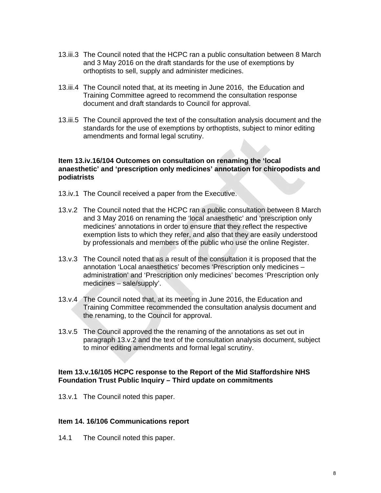- 13.iii.3 The Council noted that the HCPC ran a public consultation between 8 March and 3 May 2016 on the draft standards for the use of exemptions by orthoptists to sell, supply and administer medicines.
- 13.iii.4 The Council noted that, at its meeting in June 2016, the Education and Training Committee agreed to recommend the consultation response document and draft standards to Council for approval.
- 13.iii.5 The Council approved the text of the consultation analysis document and the standards for the use of exemptions by orthoptists, subject to minor editing amendments and formal legal scrutiny.

#### **Item 13.iv.16/104 Outcomes on consultation on renaming the 'local anaesthetic' and 'prescription only medicines' annotation for chiropodists and podiatrists**

- 13.iv.1 The Council received a paper from the Executive.
- 13.v.2 The Council noted that the HCPC ran a public consultation between 8 March and 3 May 2016 on renaming the 'local anaesthetic' and 'prescription only medicines' annotations in order to ensure that they reflect the respective exemption lists to which they refer, and also that they are easily understood by professionals and members of the public who use the online Register.
- 13.v.3 The Council noted that as a result of the consultation it is proposed that the annotation 'Local anaesthetics' becomes 'Prescription only medicines – administration' and 'Prescription only medicines' becomes 'Prescription only medicines – sale/supply'.
- 13.v.4 The Council noted that, at its meeting in June 2016, the Education and Training Committee recommended the consultation analysis document and the renaming, to the Council for approval.
- 13.v.5 The Council approved the the renaming of the annotations as set out in paragraph 13.v.2 and the text of the consultation analysis document, subject to minor editing amendments and formal legal scrutiny.

#### **Item 13.v.16/105 HCPC response to the Report of the Mid Staffordshire NHS Foundation Trust Public Inquiry – Third update on commitments**

13.v.1 The Council noted this paper.

#### **Item 14. 16/106 Communications report**

14.1 The Council noted this paper.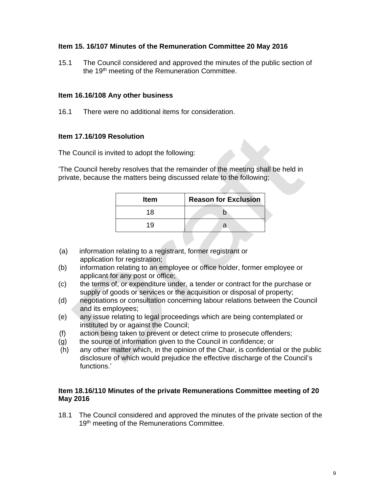# **Item 15. 16/107 Minutes of the Remuneration Committee 20 May 2016**

15.1 The Council considered and approved the minutes of the public section of the 19<sup>th</sup> meeting of the Remuneration Committee.

#### **Item 16.16/108 Any other business**

16.1 There were no additional items for consideration.

#### **Item 17.16/109 Resolution**

The Council is invited to adopt the following:

'The Council hereby resolves that the remainder of the meeting shall be held in private, because the matters being discussed relate to the following;

| <b>Item</b> | <b>Reason for Exclusion</b> |
|-------------|-----------------------------|
| 18          |                             |
| 19          | n                           |

- (a) information relating to a registrant, former registrant or application for registration;
- (b) information relating to an employee or office holder, former employee or applicant for any post or office;
- (c) the terms of, or expenditure under, a tender or contract for the purchase or supply of goods or services or the acquisition or disposal of property;
- (d) negotiations or consultation concerning labour relations between the Council and its employees;
- (e) any issue relating to legal proceedings which are being contemplated or instituted by or against the Council;
- (f) action being taken to prevent or detect crime to prosecute offenders;
- (g) the source of information given to the Council in confidence; or
- (h) any other matter which, in the opinion of the Chair, is confidential or the public disclosure of which would prejudice the effective discharge of the Council's functions.'

#### **Item 18.16/110 Minutes of the private Remunerations Committee meeting of 20 May 2016**

18.1 The Council considered and approved the minutes of the private section of the 19<sup>th</sup> meeting of the Remunerations Committee.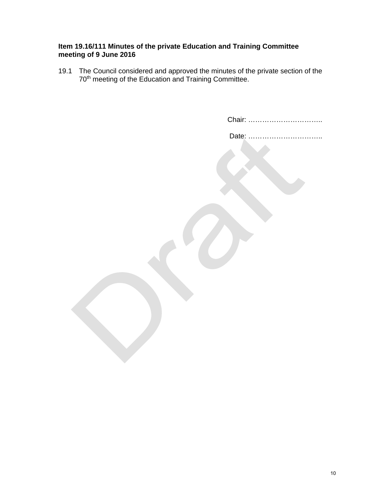# **Item 19.16/111 Minutes of the private Education and Training Committee meeting of 9 June 2016**

19.1 The Council considered and approved the minutes of the private section of the 70<sup>th</sup> meeting of the Education and Training Committee.

| Chair:     |
|------------|
| Date:<br>. |
|            |
|            |
|            |
|            |
|            |
|            |
|            |
|            |
|            |
|            |
|            |
|            |
|            |
|            |
|            |
|            |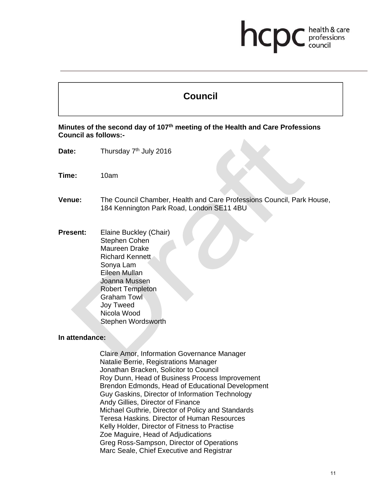# health & care hcp professions<br>council

# **Council**

**Minutes of the second day of 107th meeting of the Health and Care Professions Council as follows:-** 

- Date: Thursday 7<sup>th</sup> July 2016
- **Time:** 10am

**Venue:** The Council Chamber, Health and Care Professions Council, Park House, 184 Kennington Park Road, London SE11 4BU

**Present:** Elaine Buckley (Chair) Stephen Cohen Maureen Drake Richard Kennett Sonya Lam Eileen Mullan Joanna Mussen Robert Templeton Graham Towl Joy Tweed Nicola Wood Stephen Wordsworth

#### **In attendance:**

Claire Amor, Information Governance Manager Natalie Berrie, Registrations Manager Jonathan Bracken, Solicitor to Council Roy Dunn, Head of Business Process Improvement Brendon Edmonds, Head of Educational Development Guy Gaskins, Director of Information Technology Andy Gillies, Director of Finance Michael Guthrie, Director of Policy and Standards Teresa Haskins. Director of Human Resources Kelly Holder, Director of Fitness to Practise Zoe Maguire, Head of Adjudications Greg Ross-Sampson, Director of Operations Marc Seale, Chief Executive and Registrar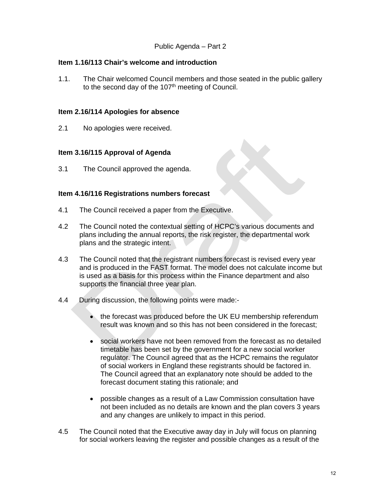#### **Item 1.16/113 Chair's welcome and introduction**

1.1. The Chair welcomed Council members and those seated in the public gallery to the second day of the  $107<sup>th</sup>$  meeting of Council.

#### **Item 2.16/114 Apologies for absence**

2.1 No apologies were received.

#### **Item 3.16/115 Approval of Agenda**

3.1 The Council approved the agenda.

#### **Item 4.16/116 Registrations numbers forecast**

- 4.1 The Council received a paper from the Executive.
- 4.2 The Council noted the contextual setting of HCPC's various documents and plans including the annual reports, the risk register, the departmental work plans and the strategic intent.
- 4.3 The Council noted that the registrant numbers forecast is revised every year and is produced in the FAST format. The model does not calculate income but is used as a basis for this process within the Finance department and also supports the financial three year plan.
- 4.4 During discussion, the following points were made:-
	- the forecast was produced before the UK EU membership referendum result was known and so this has not been considered in the forecast;
	- social workers have not been removed from the forecast as no detailed timetable has been set by the government for a new social worker regulator. The Council agreed that as the HCPC remains the regulator of social workers in England these registrants should be factored in. The Council agreed that an explanatory note should be added to the forecast document stating this rationale; and
	- possible changes as a result of a Law Commission consultation have not been included as no details are known and the plan covers 3 years and any changes are unlikely to impact in this period.
- 4.5 The Council noted that the Executive away day in July will focus on planning for social workers leaving the register and possible changes as a result of the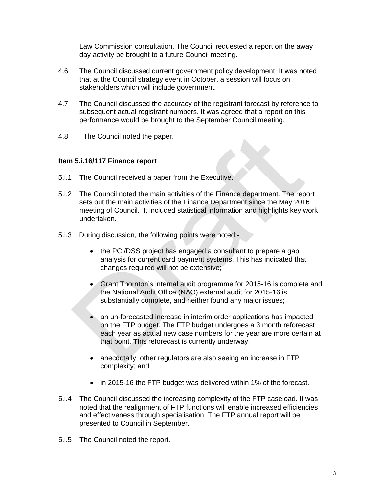Law Commission consultation. The Council requested a report on the away day activity be brought to a future Council meeting.

- 4.6 The Council discussed current government policy development. It was noted that at the Council strategy event in October, a session will focus on stakeholders which will include government.
- 4.7 The Council discussed the accuracy of the registrant forecast by reference to subsequent actual registrant numbers. It was agreed that a report on this performance would be brought to the September Council meeting.
- 4.8 The Council noted the paper.

# **Item 5.i.16/117 Finance report**

- 5.i.1 The Council received a paper from the Executive.
- 5.i.2 The Council noted the main activities of the Finance department. The report sets out the main activities of the Finance Department since the May 2016 meeting of Council. It included statistical information and highlights key work undertaken.
- 5.i.3 During discussion, the following points were noted:-
	- the PCI/DSS project has engaged a consultant to prepare a gap analysis for current card payment systems. This has indicated that changes required will not be extensive;
	- Grant Thornton's internal audit programme for 2015-16 is complete and the National Audit Office (NAO) external audit for 2015-16 is substantially complete, and neither found any major issues;
	- an un-forecasted increase in interim order applications has impacted on the FTP budget. The FTP budget undergoes a 3 month reforecast each year as actual new case numbers for the year are more certain at that point. This reforecast is currently underway;
	- anecdotally, other regulators are also seeing an increase in FTP complexity; and
	- in 2015-16 the FTP budget was delivered within 1% of the forecast.
- 5.i.4 The Council discussed the increasing complexity of the FTP caseload. It was noted that the realignment of FTP functions will enable increased efficiencies and effectiveness through specialisation. The FTP annual report will be presented to Council in September.
- 5.i.5 The Council noted the report.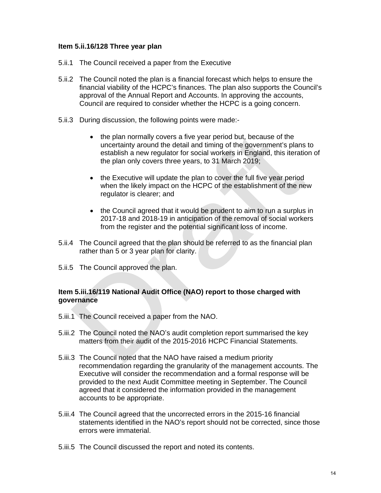#### **Item 5.ii.16/128 Three year plan**

- 5.ii.1 The Council received a paper from the Executive
- 5.ii.2 The Council noted the plan is a financial forecast which helps to ensure the financial viability of the HCPC's finances. The plan also supports the Council's approval of the Annual Report and Accounts. In approving the accounts, Council are required to consider whether the HCPC is a going concern.
- 5.ii.3 During discussion, the following points were made:-
	- the plan normally covers a five year period but, because of the uncertainty around the detail and timing of the government's plans to establish a new regulator for social workers in England, this iteration of the plan only covers three years, to 31 March 2019;
	- the Executive will update the plan to cover the full five year period when the likely impact on the HCPC of the establishment of the new regulator is clearer; and
	- the Council agreed that it would be prudent to aim to run a surplus in 2017-18 and 2018-19 in anticipation of the removal of social workers from the register and the potential significant loss of income.
- 5.ii.4 The Council agreed that the plan should be referred to as the financial plan rather than 5 or 3 year plan for clarity.
- 5.ii.5 The Council approved the plan.

#### **Item 5.iii.16/119 National Audit Office (NAO) report to those charged with governance**

- 5.iii.1 The Council received a paper from the NAO.
- 5.iii.2 The Council noted the NAO's audit completion report summarised the key matters from their audit of the 2015-2016 HCPC Financial Statements.
- 5.iii.3 The Council noted that the NAO have raised a medium priority recommendation regarding the granularity of the management accounts. The Executive will consider the recommendation and a formal response will be provided to the next Audit Committee meeting in September. The Council agreed that it considered the information provided in the management accounts to be appropriate.
- 5.iii.4 The Council agreed that the uncorrected errors in the 2015-16 financial statements identified in the NAO's report should not be corrected, since those errors were immaterial.
- 5.iii.5 The Council discussed the report and noted its contents.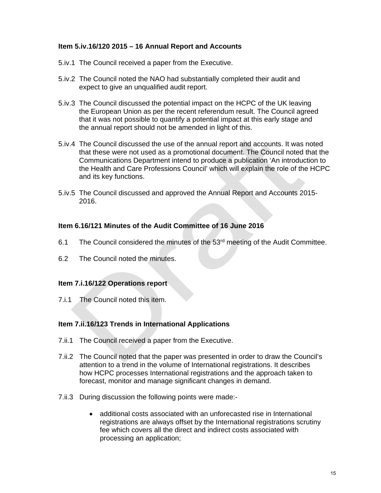# **Item 5.iv.16/120 2015 – 16 Annual Report and Accounts**

- 5.iv.1 The Council received a paper from the Executive.
- 5.iv.2 The Council noted the NAO had substantially completed their audit and expect to give an unqualified audit report.
- 5.iv.3 The Council discussed the potential impact on the HCPC of the UK leaving the European Union as per the recent referendum result. The Council agreed that it was not possible to quantify a potential impact at this early stage and the annual report should not be amended in light of this.
- 5.iv.4 The Council discussed the use of the annual report and accounts. It was noted that these were not used as a promotional document. The Council noted that the Communications Department intend to produce a publication 'An introduction to the Health and Care Professions Council' which will explain the role of the HCPC and its key functions.
- 5.iv.5 The Council discussed and approved the Annual Report and Accounts 2015- 2016.

#### **Item 6.16/121 Minutes of the Audit Committee of 16 June 2016**

- 6.1 The Council considered the minutes of the  $53<sup>rd</sup>$  meeting of the Audit Committee.
- 6.2 The Council noted the minutes.

#### **Item 7.i.16/122 Operations report**

7.i.1 The Council noted this item.

#### **Item 7.ii.16/123 Trends in International Applications**

- 7.ii.1 The Council received a paper from the Executive.
- 7.ii.2 The Council noted that the paper was presented in order to draw the Council's attention to a trend in the volume of International registrations. It describes how HCPC processes International registrations and the approach taken to forecast, monitor and manage significant changes in demand.
- 7.ii.3 During discussion the following points were made:
	- additional costs associated with an unforecasted rise in International registrations are always offset by the International registrations scrutiny fee which covers all the direct and indirect costs associated with processing an application;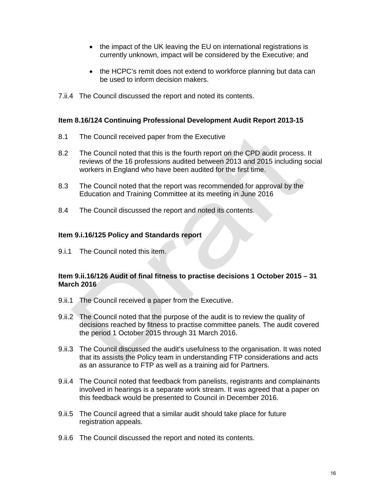- the impact of the UK leaving the EU on international registrations is currently unknown, impact will be considered by the Executive; and
- the HCPC's remit does not extend to workforce planning but data can be used to inform decision makers.
- 7.ii.4 The Council discussed the report and noted its contents.

#### **Item 8.16/124 Continuing Professional Development Audit Report 2013-15**

- 8.1 The Council received paper from the Executive
- 8.2 The Council noted that this is the fourth report on the CPD audit process. It reviews of the 16 professions audited between 2013 and 2015 including social workers in England who have been audited for the first time.
- 8.3 The Council noted that the report was recommended for approval by the Education and Training Committee at its meeting in June 2016
- 8.4 The Council discussed the report and noted its contents.

#### **Item 9.i.16/125 Policy and Standards report**

9.i.1 The Council noted this item.

#### **Item 9.ii.16/126 Audit of final fitness to practise decisions 1 October 2015 – 31 March 2016**

- 9.ii.1 The Council received a paper from the Executive.
- 9.ii.2 The Council noted that the purpose of the audit is to review the quality of decisions reached by fitness to practise committee panels. The audit covered the period 1 October 2015 through 31 March 2016.
- 9.ii.3 The Council discussed the audit's usefulness to the organisation. It was noted that its assists the Policy team in understanding FTP considerations and acts as an assurance to FTP as well as a training aid for Partners.
- 9.ii.4 The Council noted that feedback from panelists, registrants and complainants involved in hearings is a separate work stream. It was agreed that a paper on this feedback would be presented to Council in December 2016.
- 9.ii.5 The Council agreed that a similar audit should take place for future registration appeals.
- 9.ii.6 The Council discussed the report and noted its contents.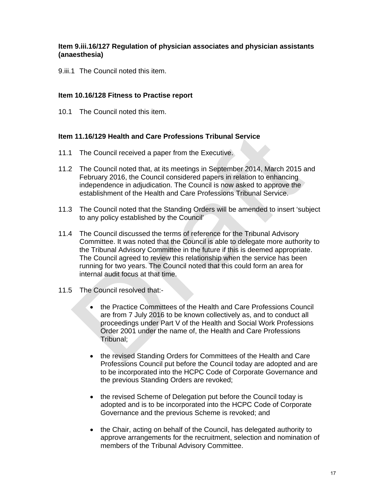# **Item 9.iii.16/127 Regulation of physician associates and physician assistants (anaesthesia)**

9.iii.1 The Council noted this item.

#### **Item 10.16/128 Fitness to Practise report**

10.1 The Council noted this item.

#### **Item 11.16/129 Health and Care Professions Tribunal Service**

- 11.1 The Council received a paper from the Executive.
- 11.2 The Council noted that, at its meetings in September 2014, March 2015 and February 2016, the Council considered papers in relation to enhancing independence in adjudication. The Council is now asked to approve the establishment of the Health and Care Professions Tribunal Service.
- 11.3 The Council noted that the Standing Orders will be amended to insert 'subject to any policy established by the Council'
- 11.4 The Council discussed the terms of reference for the Tribunal Advisory Committee. It was noted that the Council is able to delegate more authority to the Tribunal Advisory Committee in the future if this is deemed appropriate. The Council agreed to review this relationship when the service has been running for two years. The Council noted that this could form an area for internal audit focus at that time.
- 11.5 The Council resolved that:-
	- the Practice Committees of the Health and Care Professions Council are from 7 July 2016 to be known collectively as, and to conduct all proceedings under Part V of the Health and Social Work Professions Order 2001 under the name of, the Health and Care Professions Tribunal;
	- the revised Standing Orders for Committees of the Health and Care Professions Council put before the Council today are adopted and are to be incorporated into the HCPC Code of Corporate Governance and the previous Standing Orders are revoked;
	- the revised Scheme of Delegation put before the Council today is adopted and is to be incorporated into the HCPC Code of Corporate Governance and the previous Scheme is revoked; and
	- the Chair, acting on behalf of the Council, has delegated authority to approve arrangements for the recruitment, selection and nomination of members of the Tribunal Advisory Committee.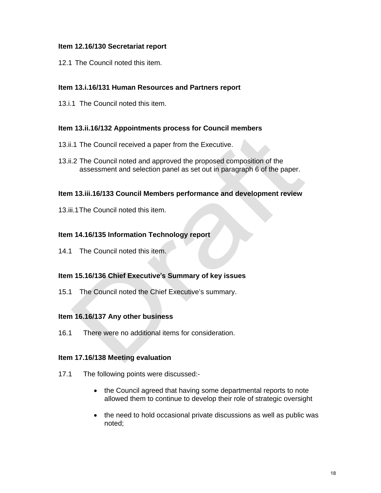# **Item 12.16/130 Secretariat report**

12.1 The Council noted this item.

# **Item 13.i.16/131 Human Resources and Partners report**

13.i.1 The Council noted this item.

#### **Item 13.ii.16/132 Appointments process for Council members**

- 13.ii.1 The Council received a paper from the Executive.
- 13.ii.2 The Council noted and approved the proposed composition of the assessment and selection panel as set out in paragraph 6 of the paper.

#### **Item 13.iii.16/133 Council Members performance and development review**

13.iii.1 The Council noted this item.

#### **Item 14.16/135 Information Technology report**

14.1 The Council noted this item.

#### **Item 15.16/136 Chief Executive**'**s Summary of key issues**

15.1 The Council noted the Chief Executive's summary.

#### **Item 16.16/137 Any other business**

16.1 There were no additional items for consideration.

#### **Item 17.16/138 Meeting evaluation**

- 17.1 The following points were discussed:-
	- the Council agreed that having some departmental reports to note allowed them to continue to develop their role of strategic oversight
	- the need to hold occasional private discussions as well as public was noted;